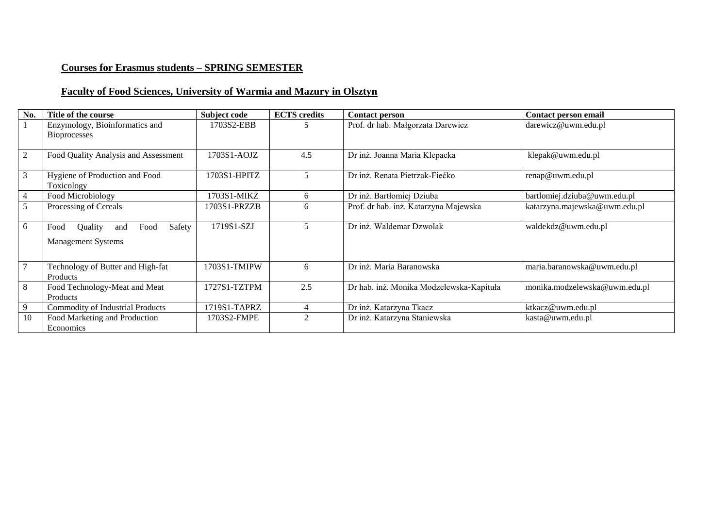# **Courses for Erasmus students – SPRING SEMESTER**

# **Faculty of Food Sciences, University of Warmia and Mazury in Olsztyn**

| No.            | Title of the course                                                   | Subject code  | <b>ECTS</b> credits         | <b>Contact person</b>                    | Contact person email          |
|----------------|-----------------------------------------------------------------------|---------------|-----------------------------|------------------------------------------|-------------------------------|
|                | Enzymology, Bioinformatics and<br><b>Bioprocesses</b>                 | 1703S2-EBB    |                             | Prof. dr hab. Małgorzata Darewicz        | darewicz@uwm.edu.pl           |
| $\mathfrak{2}$ | Food Quality Analysis and Assessment                                  | $1703S1-AOJZ$ | 4.5                         | Dr inż. Joanna Maria Klepacka            | klepak@uwm.edu.pl             |
| 3              | Hygiene of Production and Food<br>Toxicology                          | 1703S1-HPITZ  | 5                           | Dr inż. Renata Pietrzak-Fiećko           | renap@uwm.edu.pl              |
| $\overline{4}$ | Food Microbiology                                                     | 1703S1-MIKZ   | 6                           | Dr inż. Bartłomiej Dziuba                | bartlomiej.dziuba@uwm.edu.pl  |
| 5              | Processing of Cereals                                                 | 1703S1-PRZZB  | 6                           | Prof. dr hab. inż. Katarzyna Majewska    | katarzyna.majewska@uwm.edu.pl |
| 6              | Safety<br>Food<br>Quality<br>Food<br>and<br><b>Management Systems</b> | 1719S1-SZJ    | 5                           | Dr inż. Waldemar Dzwolak                 | waldekdz@uwm.edu.pl           |
|                | Technology of Butter and High-fat<br>Products                         | 1703S1-TMIPW  | 6                           | Dr inż. Maria Baranowska                 | maria.baranowska@uwm.edu.pl   |
| 8              | Food Technology-Meat and Meat<br>Products                             | 1727S1-TZTPM  | 2.5                         | Dr hab. inż. Monika Modzelewska-Kapituła | monika.modzelewska@uwm.edu.pl |
| 9              | <b>Commodity of Industrial Products</b>                               | 1719S1-TAPRZ  |                             | Dr inż. Katarzyna Tkacz                  | ktkacz@uwm.edu.pl             |
| 10             | Food Marketing and Production<br>Economics                            | 1703S2-FMPE   | $\mathcal{D}_{\mathcal{L}}$ | Dr inż. Katarzyna Staniewska             | kasta@uwm.edu.pl              |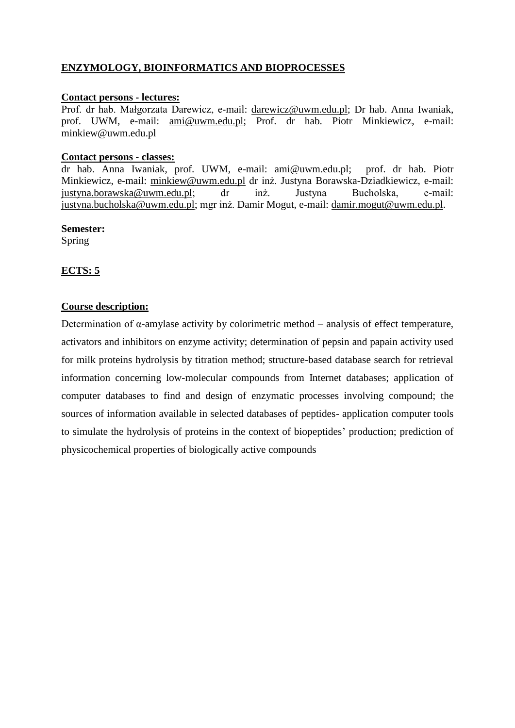# **ENZYMOLOGY, BIOINFORMATICS AND BIOPROCESSES**

#### **Contact persons - lectures:**

Prof. dr hab. Małgorzata Darewicz, e-mail: [darewicz@uwm.edu.pl;](mailto:darewicz@uwm.edu.pl) Dr hab. Anna Iwaniak, prof. UWM, e-mail: [ami@uwm.edu.pl;](mailto:ami@uwm.edu.pl) Prof. dr hab. Piotr Minkiewicz, e-mail: minkiew@uwm.edu.pl

#### **Contact persons - classes:**

dr hab. Anna Iwaniak, prof. UWM, e-mail: [ami@uwm.edu.pl;](mailto:ami@uwm.edu.pl) prof. dr hab. Piotr Minkiewicz, e-mail: [minkiew@uwm.edu.pl](mailto:minkiew@uwm.edu.pl) dr inż. Justyna Borawska-Dziadkiewicz, e-mail: [justyna.borawska@uwm.edu.pl;](mailto:justyna.borawska@uwm.edu.pl) dr inż. Justyna Bucholska, e-mail: [justyna.bucholska@uwm.edu.pl;](mailto:justyna.bucholska@uwm.edu.pl) mgr inż. Damir Mogut, e-mail: [damir.mogut@uwm.edu.pl.](mailto:damir.mogut@uwm.edu.pl)

# **Semester:**

Spring

# **ECTS: 5**

#### **Course description:**

Determination of  $\alpha$ -amylase activity by colorimetric method – analysis of effect temperature, activators and inhibitors on enzyme activity; determination of pepsin and papain activity used for milk proteins hydrolysis by titration method; structure-based database search for retrieval information concerning low-molecular compounds from Internet databases; application of computer databases to find and design of enzymatic processes involving compound; the sources of information available in selected databases of peptides- application computer tools to simulate the hydrolysis of proteins in the context of biopeptides' production; prediction of physicochemical properties of biologically active compounds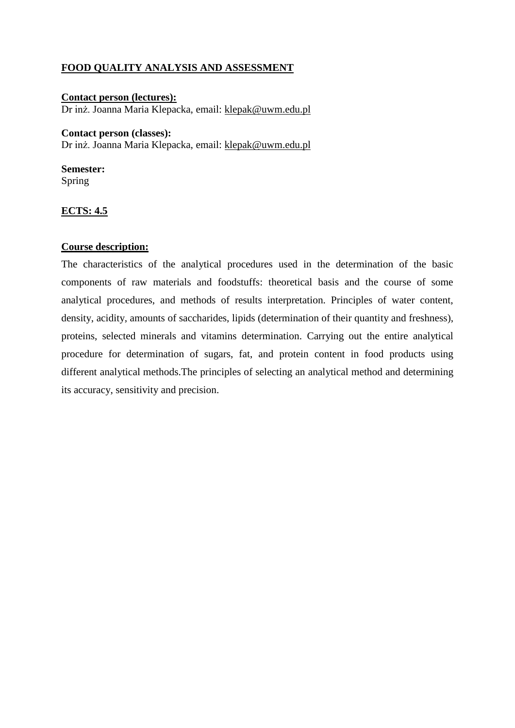# **FOOD QUALITY ANALYSIS AND ASSESSMENT**

**Contact person (lectures):**  Dr inż. Joanna Maria Klepacka, email: [klepak@uwm.edu.pl](mailto:klepak@uwm.edu.pl)

#### **Contact person (classes):**

Dr inż. Joanna Maria Klepacka, email: [klepak@uwm.edu.pl](mailto:klepak@uwm.edu.pl)

**Semester:** Spring

# **ECTS: 4.5**

# **Course description:**

The characteristics of the analytical procedures used in the determination of the basic components of raw materials and foodstuffs: theoretical basis and the course of some analytical procedures, and methods of results interpretation. Principles of water content, density, acidity, amounts of saccharides, lipids (determination of their quantity and freshness), proteins, selected minerals and vitamins determination. Carrying out the entire analytical procedure for determination of sugars, fat, and protein content in food products using different analytical methods.The principles of selecting an analytical method and determining its accuracy, sensitivity and precision.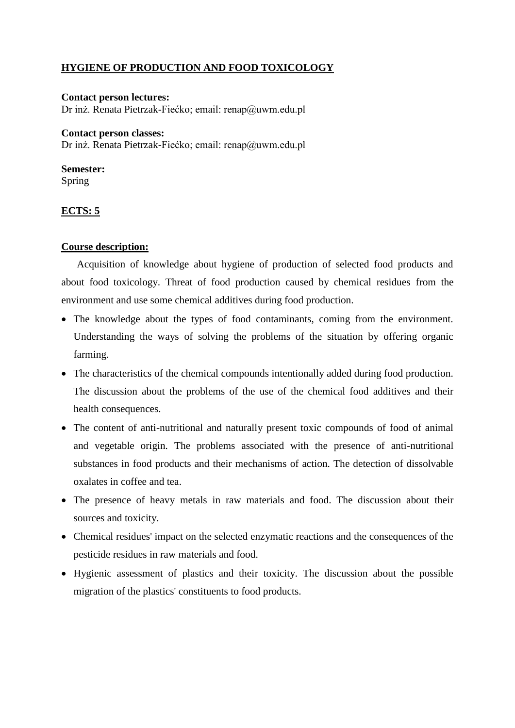# **HYGIENE OF PRODUCTION AND FOOD TOXICOLOGY**

# **Contact person lectures:**  Dr inż. Renata Pietrzak-Fiećko; email: renap@uwm.edu.pl

#### **Contact person classes:**

Dr inż. Renata Pietrzak-Fiećko; email: renap@uwm.edu.pl

# **Semester:**

Spring

# **ECTS: 5**

# **Course description:**

Acquisition of knowledge about hygiene of production of selected food products and about food toxicology. Threat of food production caused by chemical residues from the environment and use some chemical additives during food production.

- The knowledge about the types of food contaminants, coming from the environment. Understanding the ways of solving the problems of the situation by offering organic farming.
- The characteristics of the chemical compounds intentionally added during food production. The discussion about the problems of the use of the chemical food additives and their health consequences.
- The content of anti-nutritional and naturally present toxic compounds of food of animal and vegetable origin. The problems associated with the presence of anti-nutritional substances in food products and their mechanisms of action. The detection of dissolvable oxalates in coffee and tea.
- The presence of heavy metals in raw materials and food. The discussion about their sources and toxicity.
- Chemical residues' impact on the selected enzymatic reactions and the consequences of the pesticide residues in raw materials and food.
- Hygienic assessment of plastics and their toxicity. The discussion about the possible migration of the plastics' constituents to food products.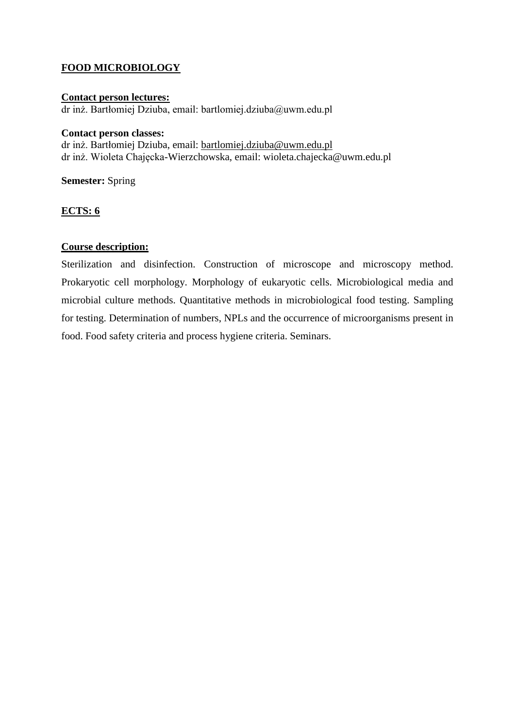# **FOOD MICROBIOLOGY**

#### **Contact person lectures:**  dr inż. Bartłomiej Dziuba, email: bartlomiej.dziuba@uwm.edu.pl

#### **Contact person classes:**

dr inż. Bartłomiej Dziuba, email: [bartlomiej.dziuba@uwm.edu.pl](mailto:bartlomiej.dziuba@uwm.edu.pl) dr inż. Wioleta Chajęcka-Wierzchowska, email: wioleta.chajecka@uwm.edu.pl

**Semester:** Spring

# **ECTS: 6**

# **Course description:**

Sterilization and disinfection. Construction of microscope and microscopy method. Prokaryotic cell morphology. Morphology of eukaryotic cells. Microbiological media and microbial culture methods. Quantitative methods in microbiological food testing. Sampling for testing. Determination of numbers, NPLs and the occurrence of microorganisms present in food. Food safety criteria and process hygiene criteria. Seminars.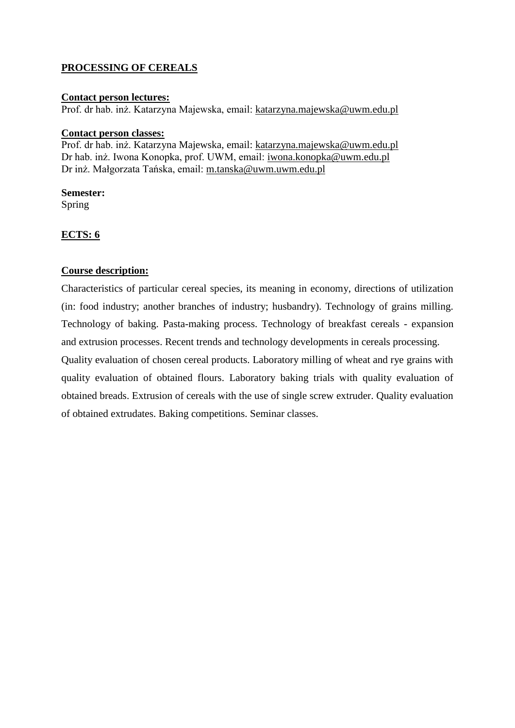# **PROCESSING OF CEREALS**

#### **Contact person lectures:**

Prof. dr hab. inż. Katarzyna Majewska, email: [katarzyna.majewska@uwm.edu.pl](mailto:katarzyna.majewska@uwm.edu.pl)

#### **Contact person classes:**

Prof. dr hab. inż. Katarzyna Majewska, email: [katarzyna.majewska@uwm.edu.pl](mailto:katarzyna.majewska@uwm.edu.pl) Dr hab. inż. Iwona Konopka, prof. UWM, email: [iwona.konopka@uwm.edu.pl](mailto:iwona.konopka@uwm.edu.pl) Dr inż. Małgorzata Tańska, email: [m.tanska@uwm.uwm.edu.pl](mailto:m.tanska@uwm.uwm.edu.pl)

#### **Semester:**

Spring

# **ECTS: 6**

# **Course description:**

Characteristics of particular cereal species, its meaning in economy, directions of utilization (in: food industry; another branches of industry; husbandry). Technology of grains milling. Technology of baking. Pasta-making process. Technology of breakfast cereals - expansion and extrusion processes. Recent trends and technology developments in cereals processing.

Quality evaluation of chosen cereal products. Laboratory milling of wheat and rye grains with quality evaluation of obtained flours. Laboratory baking trials with quality evaluation of obtained breads. Extrusion of cereals with the use of single screw extruder. Quality evaluation of obtained extrudates. Baking competitions. Seminar classes.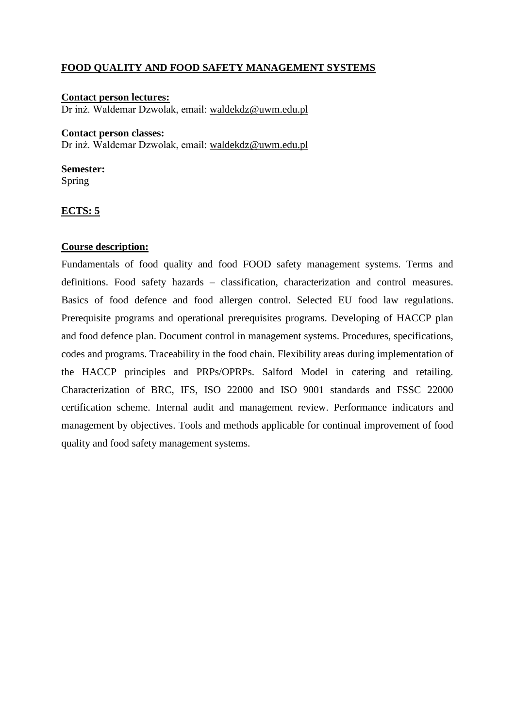# **FOOD QUALITY AND FOOD SAFETY MANAGEMENT SYSTEMS**

#### **Contact person lectures:**  Dr inż. Waldemar Dzwolak, email: [waldekdz@uwm.edu.pl](mailto:waldekdz@uwm.edu.pl)

#### **Contact person classes:**

Dr inż. Waldemar Dzwolak, email: [waldekdz@uwm.edu.pl](mailto:waldekdz@uwm.edu.pl)

# **Semester:**

Spring

# **ECTS: 5**

# **Course description:**

Fundamentals of food quality and food FOOD safety management systems. Terms and definitions. Food safety hazards – classification, characterization and control measures. Basics of food defence and food allergen control. Selected EU food law regulations. Prerequisite programs and operational prerequisites programs. Developing of HACCP plan and food defence plan. Document control in management systems. Procedures, specifications, codes and programs. Traceability in the food chain. Flexibility areas during implementation of the HACCP principles and PRPs/OPRPs. Salford Model in catering and retailing. Characterization of BRC, IFS, ISO 22000 and ISO 9001 standards and FSSC 22000 certification scheme. Internal audit and management review. Performance indicators and management by objectives. Tools and methods applicable for continual improvement of food quality and food safety management systems.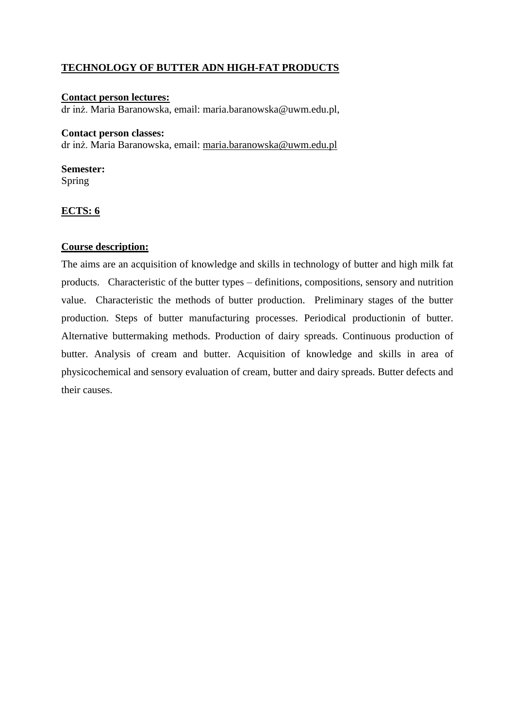# **TECHNOLOGY OF BUTTER ADN HIGH-FAT PRODUCTS**

# **Contact person lectures:**

dr inż. Maria Baranowska, email: maria.baranowska@uwm.edu.pl,

#### **Contact person classes:**

dr inż. Maria Baranowska, email: [maria.baranowska@uwm.edu.pl](mailto:maria.baranowska@uwm.edu.pl)

#### **Semester:**

Spring

# **ECTS: 6**

# **Course description:**

The aims are an acquisition of knowledge and skills in technology of butter and high milk fat products. Characteristic of the butter types – definitions, compositions, sensory and nutrition value. Characteristic the methods of butter production. Preliminary stages of the butter production. Steps of butter manufacturing processes. Periodical productionin of butter. Alternative buttermaking methods. Production of dairy spreads. Continuous production of butter. Analysis of cream and butter. Acquisition of knowledge and skills in area of physicochemical and sensory evaluation of cream, butter and dairy spreads. Butter defects and their causes.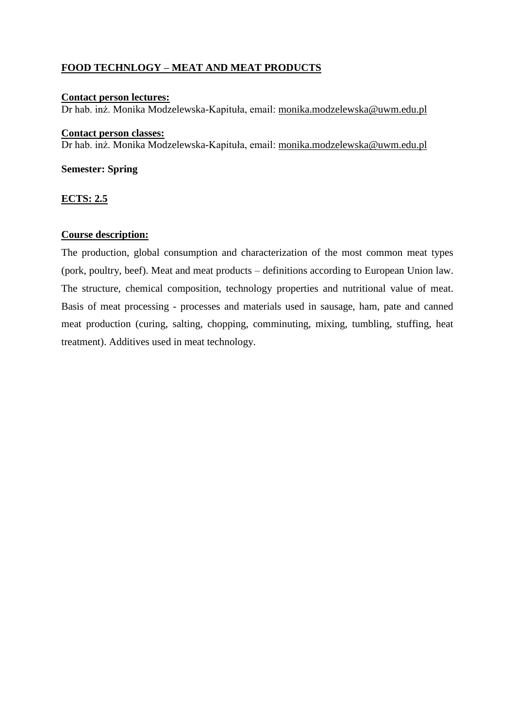# **FOOD TECHNLOGY – MEAT AND MEAT PRODUCTS**

#### **Contact person lectures:**

Dr hab. inż. Monika Modzelewska-Kapituła, email: [monika.modzelewska@uwm.edu.pl](mailto:monika.modzelewska@uwm.edu.pl)

#### **Contact person classes:**

Dr hab. inż. Monika Modzelewska-Kapituła, email: [monika.modzelewska@uwm.edu.pl](mailto:monika.modzelewska@uwm.edu.pl)

# **Semester: Spring**

# **ECTS: 2.5**

# **Course description:**

The production, global consumption and characterization of the most common meat types (pork, poultry, beef). Meat and meat products – definitions according to European Union law. The structure, chemical composition, technology properties and nutritional value of meat. Basis of meat processing - processes and materials used in sausage, ham, pate and canned meat production (curing, salting, chopping, comminuting, mixing, tumbling, stuffing, heat treatment). Additives used in meat technology.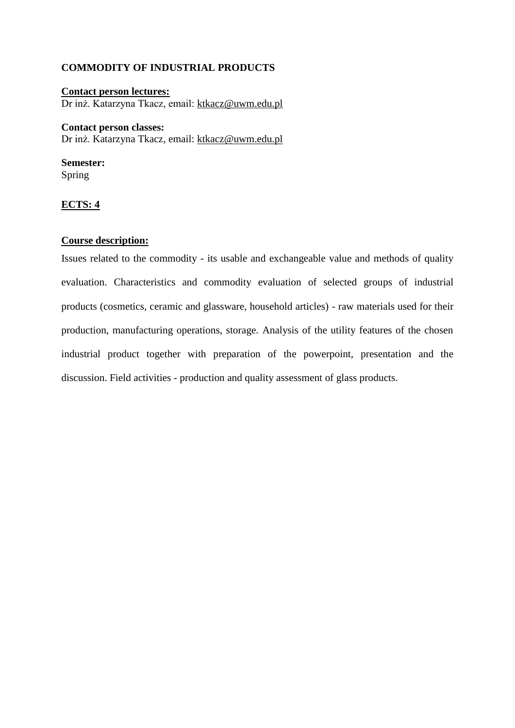#### **COMMODITY OF INDUSTRIAL PRODUCTS**

**Contact person lectures:**  Dr inż. Katarzyna Tkacz, email: [ktkacz@uwm.edu.pl](mailto:ktkacz@uwm.edu.pl)

#### **Contact person classes:**

Dr inż. Katarzyna Tkacz, email: [ktkacz@uwm.edu.pl](mailto:ktkacz@uwm.edu.pl)

# **Semester:**

Spring

# **ECTS: 4**

#### **Course description:**

Issues related to the commodity - its usable and exchangeable value and methods of quality evaluation. Characteristics and commodity evaluation of selected groups of industrial products (cosmetics, ceramic and glassware, household articles) - raw materials used for their production, manufacturing operations, storage. Analysis of the utility features of the chosen industrial product together with preparation of the powerpoint, presentation and the discussion. Field activities - production and quality assessment of glass products.